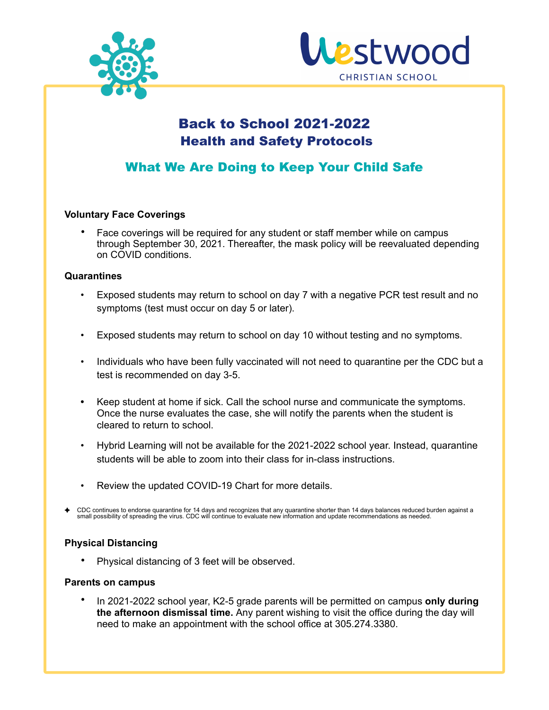



# Back to School 2021-2022 Health and Safety Protocols

## What We Are Doing to Keep Your Child Safe

## **Voluntary Face Coverings**

• Face coverings will be required for any student or staff member while on campus through September 30, 2021. Thereafter, the mask policy will be reevaluated depending on COVID conditions.

## **Quarantines**

- Exposed students may return to school on day 7 with a negative PCR test result and no symptoms (test must occur on day 5 or later).
- Exposed students may return to school on day 10 without testing and no symptoms.
- Individuals who have been fully vaccinated will not need to quarantine per the CDC but a test is recommended on day 3-5.
- **•** Keep student at home if sick. Call the school nurse and communicate the symptoms. Once the nurse evaluates the case, she will notify the parents when the student is cleared to return to school.
- Hybrid Learning will not be available for the 2021-2022 school year. Instead, quarantine students will be able to zoom into their class for in-class instructions.
- Review the updated COVID-19 Chart for more details.
- CDC continues to endorse quarantine for 14 days and recognizes that any quarantine shorter than 14 days balances reduced burden against a<br>small possibility of spreading the virus. CDC will continue to evaluate new informat

## **Physical Distancing**

Physical distancing of 3 feet will be observed.

## **Parents on campus**

• In 2021-2022 school year, K2-5 grade parents will be permitted on campus **only during the afternoon dismissal time.** Any parent wishing to visit the office during the day will need to make an appointment with the school office at 305.274.3380.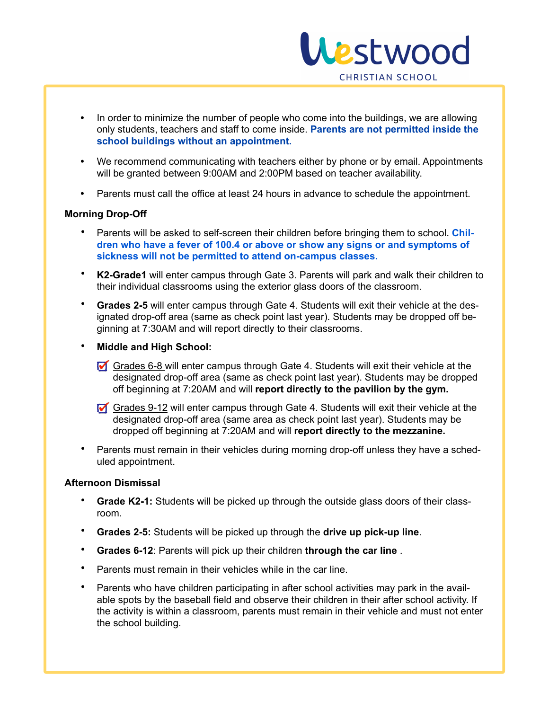

- **•** In order to minimize the number of people who come into the buildings, we are allowing only students, teachers and staff to come inside. **Parents are not permitted inside the school buildings without an appointment.**
- **•** We recommend communicating with teachers either by phone or by email. Appointments will be granted between 9:00AM and 2:00PM based on teacher availability.
- **•** Parents must call the office at least 24 hours in advance to schedule the appointment.

#### **Morning Drop-Off**

- Parents will be asked to self-screen their children before bringing them to school. **Children who have a fever of 100.4 or above or show any signs or and symptoms of sickness will not be permitted to attend on-campus classes.**
- **K2-Grade1** will enter campus through Gate 3. Parents will park and walk their children to their individual classrooms using the exterior glass doors of the classroom.
- **Grades 2-5** will enter campus through Gate 4. Students will exit their vehicle at the designated drop-off area (same as check point last year). Students may be dropped off beginning at 7:30AM and will report directly to their classrooms.
- **Middle and High School:**
	- Grades 6-8 will enter campus through Gate 4. Students will exit their vehicle at the designated drop-off area (same as check point last year). Students may be dropped off beginning at 7:20AM and will **report directly to the pavilion by the gym.**
	- Grades 9-12 will enter campus through Gate 4. Students will exit their vehicle at the designated drop-off area (same area as check point last year). Students may be dropped off beginning at 7:20AM and will **report directly to the mezzanine.**
- Parents must remain in their vehicles during morning drop-off unless they have a scheduled appointment.

#### **Afternoon Dismissal**

- **Grade K2-1:** Students will be picked up through the outside glass doors of their classroom.
- **Grades 2-5:** Students will be picked up through the **drive up pick-up line**.
- **Grades 6-12**: Parents will pick up their children **through the car line** .
- Parents must remain in their vehicles while in the car line.
- Parents who have children participating in after school activities may park in the available spots by the baseball field and observe their children in their after school activity. If the activity is within a classroom, parents must remain in their vehicle and must not enter the school building.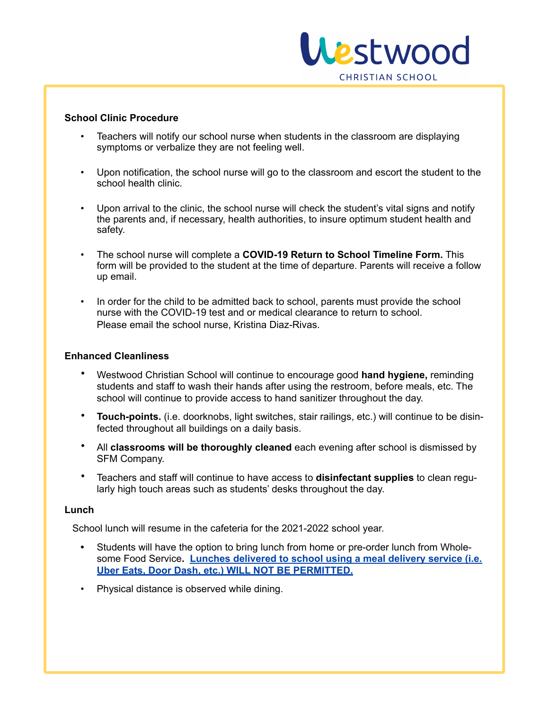

#### **School Clinic Procedure**

- Teachers will notify our school nurse when students in the classroom are displaying symptoms or verbalize they are not feeling well.
- Upon notification, the school nurse will go to the classroom and escort the student to the school health clinic.
- Upon arrival to the clinic, the school nurse will check the student's vital signs and notify the parents and, if necessary, health authorities, to insure optimum student health and safety.
- The school nurse will complete a **COVID-19 Return to School Timeline Form.** This form will be provided to the student at the time of departure. Parents will receive a follow up email.
- In order for the child to be admitted back to school, parents must provide the school nurse with the COVID-19 test and or medical clearance to return to school. Please email the school nurse, Kristina Diaz-Rivas.

#### **Enhanced Cleanliness**

- Westwood Christian School will continue to encourage good **hand hygiene,** reminding students and staff to wash their hands after using the restroom, before meals, etc. The school will continue to provide access to hand sanitizer throughout the day.
- **Touch-points.** (i.e. doorknobs, light switches, stair railings, etc.) will continue to be disinfected throughout all buildings on a daily basis.
- All **classrooms will be thoroughly cleaned** each evening after school is dismissed by SFM Company.
- Teachers and staff will continue to have access to **disinfectant supplies** to clean regularly high touch areas such as students' desks throughout the day.

#### **Lunch**

School lunch will resume in the cafeteria for the 2021-2022 school year.

- **•** Students will have the option to bring lunch from home or pre-order lunch from Wholesome Food Service**. Lunches delivered to school using a meal delivery service (i.e. Uber Eats, Door Dash, etc.) WILL NOT BE PERMITTED.**
- Physical distance is observed while dining.